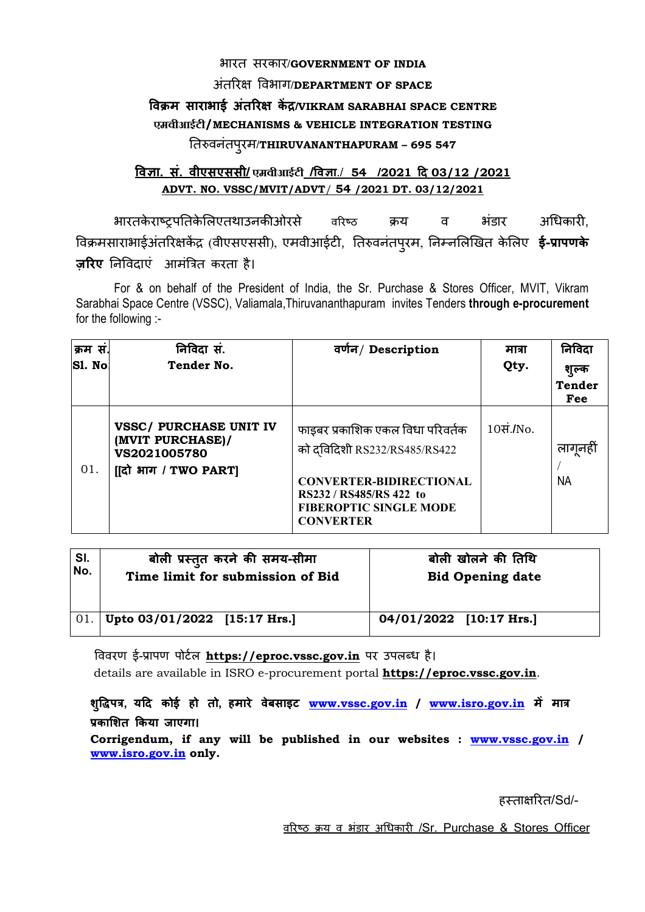## भारत सरकार/**GOVERNMENT OF INDIA**

## अंतर 
वभाग/**DEPARTMENT OF SPACE**

## **वम साराभाई अंतर क /VIKRAM SARABHAI SPACE CENTRE एमवीआईटी/MECHANISMS & VEHICLE INTEGRATION TESTING**  तवनंतपुरम/**THIRUVANANTHAPURAM – 695 547**

## **वा. सं. वीएसएससी/ एमवीआईटी /वा**./ **54 /2021 द 03/12 /2021 ADVT. NO. VSSC/MVIT/ADVT**/ **54 /2021 DT. 03/12/2021**

भारतकेराष्टपतिकेलिएतथाउनकीओरसे वरिष्ठ क्रय व भंडार अधिकारी. विक्रमसाराभाईअंतरिक्षकेंद्र (वीएसएससी), एमवीआईटी, तिरुवनंतपुरम, निम्नलिखित केलिए **ई-प्रापणके ज़रए** न
वदाएं आमं34त करता है।

For & on behalf of the President of India, the Sr. Purchase & Stores Officer, MVIT, Vikram Sarabhai Space Centre (VSSC), Valiamala,Thiruvananthapuram invites Tenders **through e-procurement**  for the following :-

| क्रम स.<br>S1. No | निविदा सं.<br>Tender No.                                                                  | वर्णन/ Description                                                                                                                                                                 | मात्रा<br>Qty. | निविदा<br>शुल्क<br><b>Tender</b><br>Fee |
|-------------------|-------------------------------------------------------------------------------------------|------------------------------------------------------------------------------------------------------------------------------------------------------------------------------------|----------------|-----------------------------------------|
| 01.               | <b>VSSC/ PURCHASE UNIT IV</b><br>(MVIT PURCHASE)/<br>VS2021005780<br>[[दो भाग / TWO PART] | फाइबर प्रकाशिक एकल विधा परिवर्तक<br>को दविदिशी RS232/RS485/RS422<br><b>CONVERTER-BIDIRECTIONAL</b><br>RS232 / RS485/RS 422 to<br><b>FIBEROPTIC SINGLE MODE</b><br><b>CONVERTER</b> | 10सं./No.      | लागूनहीं<br><b>NA</b>                   |

| SI.         | बोली प्रस्तुत करने की समय-सीमा   | बोली खोलने की तिथि      |
|-------------|----------------------------------|-------------------------|
| No.         | Time limit for submission of Bid | <b>Bid Opening date</b> |
| $\vert$ 01. | Upto 03/01/2022 [15:17 Hrs.]     | 04/01/2022 [10:17 Hrs.] |

विवरण ई-प्रापण पोर्टल **https://eproc.vssc.gov.in** पर उपलब्ध है। details are available in ISRO e-procurement portal **https://eproc.vssc.gov.in**.

शुद्धिपत्र, यदि कोई हो तो, हमारे वेबसाइट **www.vssc.gov.in / www.isro.gov.in** में मात्र **का/शत 0कया जाएगा।**

**Corrigendum, if any will be published in our websites : www.vssc.gov.in / www.isro.gov.in only.** 

हस्ताक्षरित/Sd/-

वरिष्ठ क्रय व भंडार अधिकारी /Sr. Purchase & Stores Officer